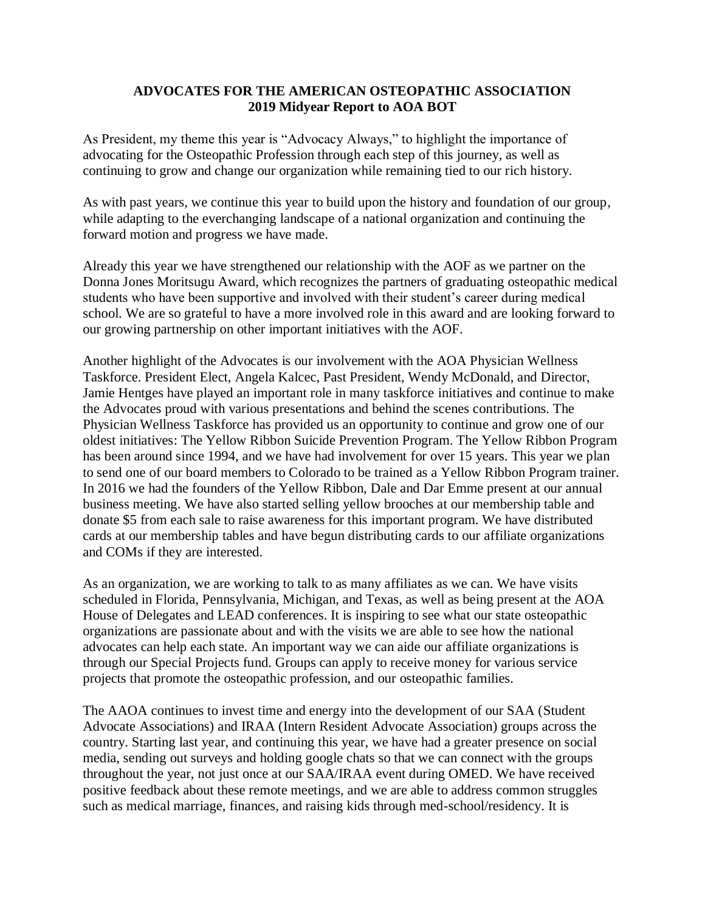#### **ADVOCATES FOR THE AMERICAN OSTEOPATHIC ASSOCIATION 2019 Midyear Report to AOA BOT**

As President, my theme this year is "Advocacy Always," to highlight the importance of advocating for the Osteopathic Profession through each step of this journey, as well as continuing to grow and change our organization while remaining tied to our rich history.

As with past years, we continue this year to build upon the history and foundation of our group, while adapting to the everchanging landscape of a national organization and continuing the forward motion and progress we have made.

Already this year we have strengthened our relationship with the AOF as we partner on the Donna Jones Moritsugu Award, which recognizes the partners of graduating osteopathic medical students who have been supportive and involved with their student's career during medical school. We are so grateful to have a more involved role in this award and are looking forward to our growing partnership on other important initiatives with the AOF.

Another highlight of the Advocates is our involvement with the AOA Physician Wellness Taskforce. President Elect, Angela Kalcec, Past President, Wendy McDonald, and Director, Jamie Hentges have played an important role in many taskforce initiatives and continue to make the Advocates proud with various presentations and behind the scenes contributions. The Physician Wellness Taskforce has provided us an opportunity to continue and grow one of our oldest initiatives: The Yellow Ribbon Suicide Prevention Program. The Yellow Ribbon Program has been around since 1994, and we have had involvement for over 15 years. This year we plan to send one of our board members to Colorado to be trained as a Yellow Ribbon Program trainer. In 2016 we had the founders of the Yellow Ribbon, Dale and Dar Emme present at our annual business meeting. We have also started selling yellow brooches at our membership table and donate \$5 from each sale to raise awareness for this important program. We have distributed cards at our membership tables and have begun distributing cards to our affiliate organizations and COMs if they are interested.

As an organization, we are working to talk to as many affiliates as we can. We have visits scheduled in Florida, Pennsylvania, Michigan, and Texas, as well as being present at the AOA House of Delegates and LEAD conferences. It is inspiring to see what our state osteopathic organizations are passionate about and with the visits we are able to see how the national advocates can help each state. An important way we can aide our affiliate organizations is through our Special Projects fund. Groups can apply to receive money for various service projects that promote the osteopathic profession, and our osteopathic families.

The AAOA continues to invest time and energy into the development of our SAA (Student Advocate Associations) and IRAA (Intern Resident Advocate Association) groups across the country. Starting last year, and continuing this year, we have had a greater presence on social media, sending out surveys and holding google chats so that we can connect with the groups throughout the year, not just once at our SAA/IRAA event during OMED. We have received positive feedback about these remote meetings, and we are able to address common struggles such as medical marriage, finances, and raising kids through med-school/residency. It is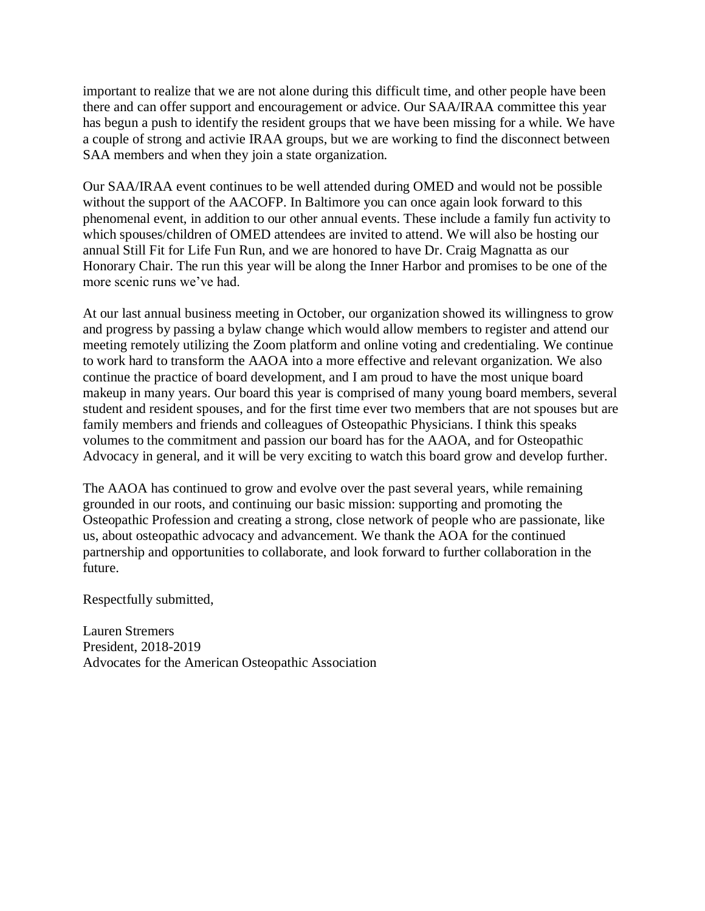important to realize that we are not alone during this difficult time, and other people have been there and can offer support and encouragement or advice. Our SAA/IRAA committee this year has begun a push to identify the resident groups that we have been missing for a while. We have a couple of strong and activie IRAA groups, but we are working to find the disconnect between SAA members and when they join a state organization.

Our SAA/IRAA event continues to be well attended during OMED and would not be possible without the support of the AACOFP. In Baltimore you can once again look forward to this phenomenal event, in addition to our other annual events. These include a family fun activity to which spouses/children of OMED attendees are invited to attend. We will also be hosting our annual Still Fit for Life Fun Run, and we are honored to have Dr. Craig Magnatta as our Honorary Chair. The run this year will be along the Inner Harbor and promises to be one of the more scenic runs we've had.

At our last annual business meeting in October, our organization showed its willingness to grow and progress by passing a bylaw change which would allow members to register and attend our meeting remotely utilizing the Zoom platform and online voting and credentialing. We continue to work hard to transform the AAOA into a more effective and relevant organization. We also continue the practice of board development, and I am proud to have the most unique board makeup in many years. Our board this year is comprised of many young board members, several student and resident spouses, and for the first time ever two members that are not spouses but are family members and friends and colleagues of Osteopathic Physicians. I think this speaks volumes to the commitment and passion our board has for the AAOA, and for Osteopathic Advocacy in general, and it will be very exciting to watch this board grow and develop further.

The AAOA has continued to grow and evolve over the past several years, while remaining grounded in our roots, and continuing our basic mission: supporting and promoting the Osteopathic Profession and creating a strong, close network of people who are passionate, like us, about osteopathic advocacy and advancement. We thank the AOA for the continued partnership and opportunities to collaborate, and look forward to further collaboration in the future.

Respectfully submitted,

Lauren Stremers President, 2018-2019 Advocates for the American Osteopathic Association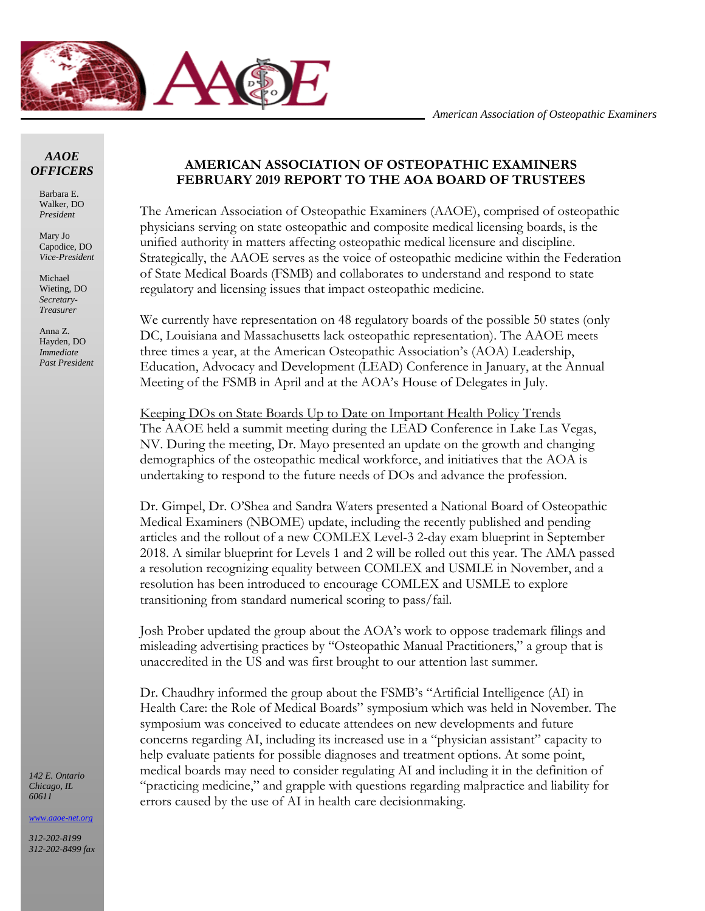

#### *AAOE OFFICERS*

Barbara E. Walker, DO *President*

Mary Jo Capodice, DO *Vice-President*

Michael Wieting, DO *Secretary-Treasurer*

Anna Z. Hayden, DO *Immediate Past President*

#### *142 E. Ontario Chicago, IL 60611*

*[www.aaoe-net.org](http://www.aaoe-net.org/)*

*312-202-8199 312-202-8499 fax*

#### **AMERICAN ASSOCIATION OF OSTEOPATHIC EXAMINERS FEBRUARY 2019 REPORT TO THE AOA BOARD OF TRUSTEES**

The American Association of Osteopathic Examiners (AAOE), comprised of osteopathic physicians serving on state osteopathic and composite medical licensing boards, is the unified authority in matters affecting osteopathic medical licensure and discipline. Strategically, the AAOE serves as the voice of osteopathic medicine within the Federation of State Medical Boards (FSMB) and collaborates to understand and respond to state regulatory and licensing issues that impact osteopathic medicine.

We currently have representation on 48 regulatory boards of the possible 50 states (only DC, Louisiana and Massachusetts lack osteopathic representation). The AAOE meets three times a year, at the American Osteopathic Association's (AOA) Leadership, Education, Advocacy and Development (LEAD) Conference in January, at the Annual Meeting of the FSMB in April and at the AOA's House of Delegates in July.

Keeping DOs on State Boards Up to Date on Important Health Policy Trends The AAOE held a summit meeting during the LEAD Conference in Lake Las Vegas, NV. During the meeting, Dr. Mayo presented an update on the growth and changing demographics of the osteopathic medical workforce, and initiatives that the AOA is undertaking to respond to the future needs of DOs and advance the profession.

Dr. Gimpel, Dr. O'Shea and Sandra Waters presented a National Board of Osteopathic Medical Examiners (NBOME) update, including the recently published and pending articles and the rollout of a new COMLEX Level-3 2-day exam blueprint in September 2018. A similar blueprint for Levels 1 and 2 will be rolled out this year. The AMA passed a resolution recognizing equality between COMLEX and USMLE in November, and a resolution has been introduced to encourage COMLEX and USMLE to explore transitioning from standard numerical scoring to pass/fail.

Josh Prober updated the group about the AOA's work to oppose trademark filings and misleading advertising practices by "Osteopathic Manual Practitioners," a group that is unaccredited in the US and was first brought to our attention last summer.

Dr. Chaudhry informed the group about the FSMB's "Artificial Intelligence (AI) in Health Care: the Role of Medical Boards" symposium which was held in November. The symposium was conceived to educate attendees on new developments and future concerns regarding AI, including its increased use in a "physician assistant" capacity to help evaluate patients for possible diagnoses and treatment options. At some point, medical boards may need to consider regulating AI and including it in the definition of "practicing medicine," and grapple with questions regarding malpractice and liability for errors caused by the use of AI in health care decisionmaking.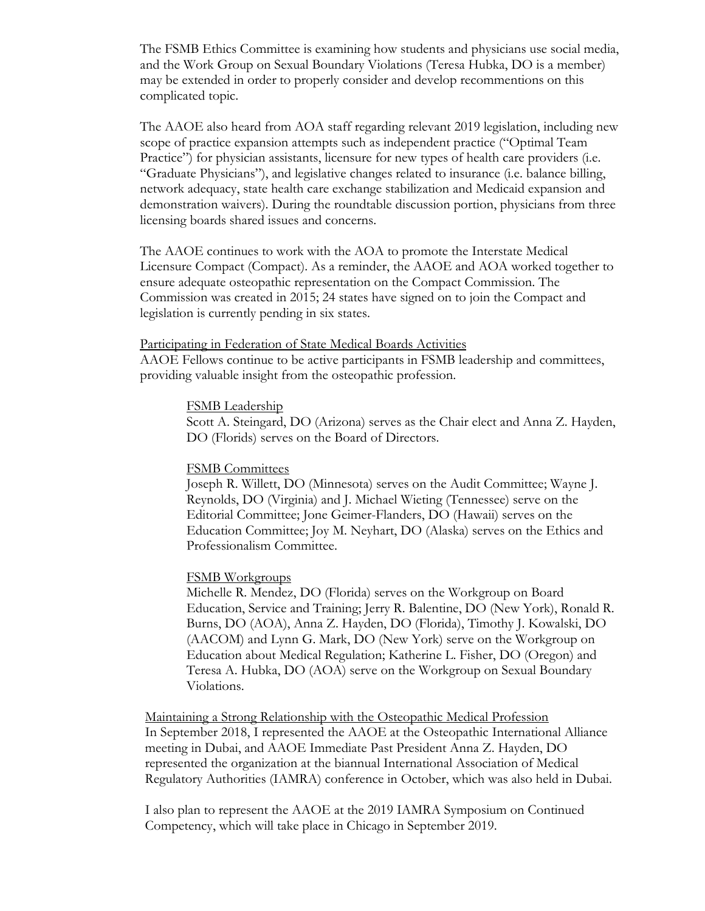The FSMB Ethics Committee is examining how students and physicians use social media, and the Work Group on Sexual Boundary Violations (Teresa Hubka, DO is a member) may be extended in order to properly consider and develop recommentions on this complicated topic.

The AAOE also heard from AOA staff regarding relevant 2019 legislation, including new scope of practice expansion attempts such as independent practice ("Optimal Team Practice") for physician assistants, licensure for new types of health care providers (i.e. "Graduate Physicians"), and legislative changes related to insurance (i.e. balance billing, network adequacy, state health care exchange stabilization and Medicaid expansion and demonstration waivers). During the roundtable discussion portion, physicians from three licensing boards shared issues and concerns.

The AAOE continues to work with the AOA to promote the Interstate Medical Licensure Compact (Compact). As a reminder, the AAOE and AOA worked together to ensure adequate osteopathic representation on the Compact Commission. The Commission was created in 2015; 24 states have signed on to join the Compact and legislation is currently pending in six states.

#### Participating in Federation of State Medical Boards Activities

AAOE Fellows continue to be active participants in FSMB leadership and committees, providing valuable insight from the osteopathic profession.

#### FSMB Leadership

Scott A. Steingard, DO (Arizona) serves as the Chair elect and Anna Z. Hayden, DO (Florids) serves on the Board of Directors.

#### FSMB Committees

Joseph R. Willett, DO (Minnesota) serves on the Audit Committee; Wayne J. Reynolds, DO (Virginia) and J. Michael Wieting (Tennessee) serve on the Editorial Committee; Jone Geimer-Flanders, DO (Hawaii) serves on the Education Committee; Joy M. Neyhart, DO (Alaska) serves on the Ethics and Professionalism Committee.

#### FSMB Workgroups

Michelle R. Mendez, DO (Florida) serves on the Workgroup on Board Education, Service and Training; Jerry R. Balentine, DO (New York), Ronald R. Burns, DO (AOA), Anna Z. Hayden, DO (Florida), Timothy J. Kowalski, DO (AACOM) and Lynn G. Mark, DO (New York) serve on the Workgroup on Education about Medical Regulation; Katherine L. Fisher, DO (Oregon) and Teresa A. Hubka, DO (AOA) serve on the Workgroup on Sexual Boundary Violations.

Maintaining a Strong Relationship with the Osteopathic Medical Profession In September 2018, I represented the AAOE at the Osteopathic International Alliance meeting in Dubai, and AAOE Immediate Past President Anna Z. Hayden, DO represented the organization at the biannual International Association of Medical Regulatory Authorities (IAMRA) conference in October, which was also held in Dubai.

I also plan to represent the AAOE at the 2019 IAMRA Symposium on Continued Competency, which will take place in Chicago in September 2019.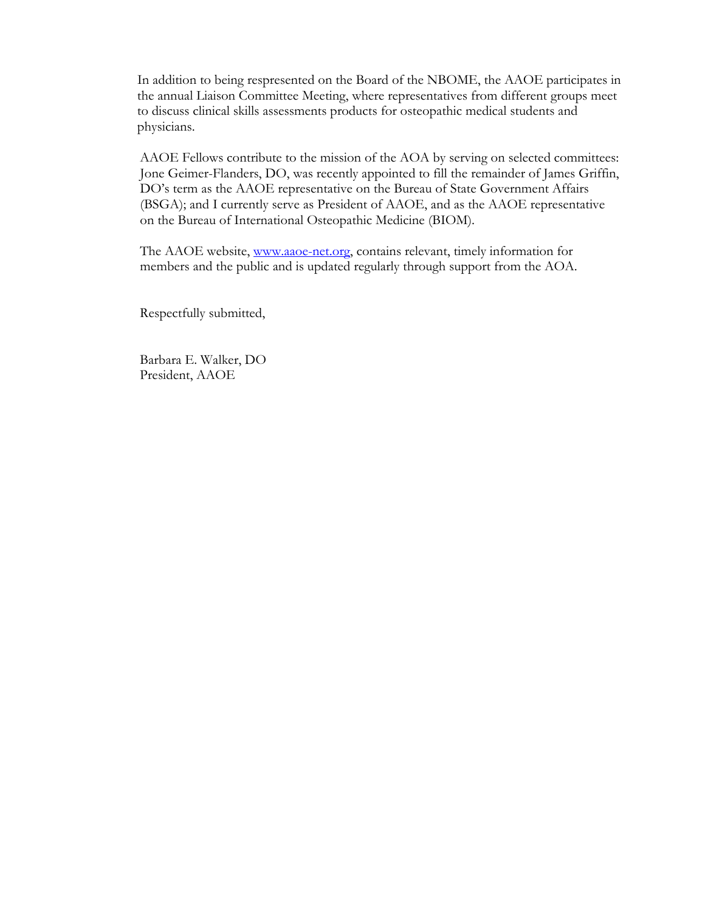In addition to being respresented on the Board of the NBOME, the AAOE participates in the annual Liaison Committee Meeting, where representatives from different groups meet to discuss clinical skills assessments products for osteopathic medical students and physicians.

AAOE Fellows contribute to the mission of the AOA by serving on selected committees: Jone Geimer-Flanders, DO, was recently appointed to fill the remainder of James Griffin, DO's term as the AAOE representative on the Bureau of State Government Affairs (BSGA); and I currently serve as President of AAOE, and as the AAOE representative on the Bureau of International Osteopathic Medicine (BIOM).

The AAOE website, [www.aaoe-net.org,](http://www.aaoe-net.org/) contains relevant, timely information for members and the public and is updated regularly through support from the AOA.

Respectfully submitted,

Barbara E. Walker, DO President, AAOE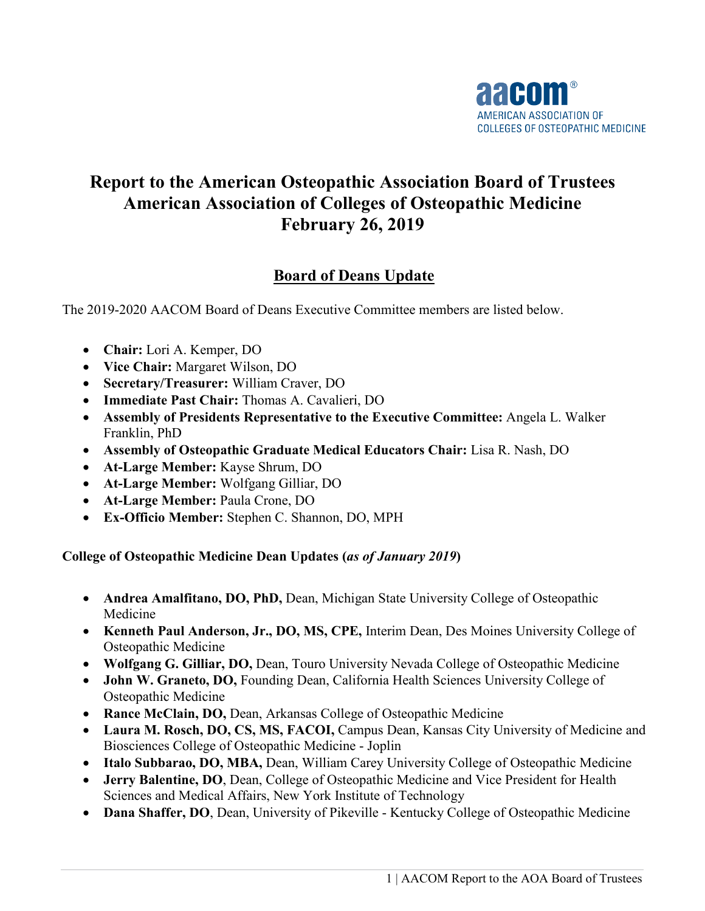

# **Report to the American Osteopathic Association Board of Trustees American Association of Colleges of Osteopathic Medicine February 26, 2019**

# **Board of Deans Update**

The 2019-2020 AACOM Board of Deans Executive Committee members are listed below.

- **Chair:** Lori A. Kemper, DO
- **Vice Chair:** Margaret Wilson, DO
- **Secretary/Treasurer:** William Craver, DO
- **Immediate Past Chair:** Thomas A. Cavalieri, DO
- **Assembly of Presidents Representative to the Executive Committee:** Angela L. Walker Franklin, PhD
- **Assembly of Osteopathic Graduate Medical Educators Chair:** Lisa R. Nash, DO
- **At-Large Member:** Kayse Shrum, DO
- **At-Large Member:** Wolfgang Gilliar, DO
- **At-Large Member:** Paula Crone, DO
- **Ex-Officio Member:** Stephen C. Shannon, DO, MPH

**College of Osteopathic Medicine Dean Updates (***as of January 2019***)**

- **Andrea Amalfitano, DO, PhD,** Dean, Michigan State University College of Osteopathic Medicine
- **Kenneth Paul Anderson, Jr., DO, MS, CPE,** Interim Dean, Des Moines University College of Osteopathic Medicine
- **Wolfgang G. Gilliar, DO,** Dean, Touro University Nevada College of Osteopathic Medicine
- **John W. Graneto, DO,** Founding Dean, California Health Sciences University College of Osteopathic Medicine
- **Rance McClain, DO,** Dean, Arkansas College of Osteopathic Medicine
- **Laura M. Rosch, DO, CS, MS, FACOI,** Campus Dean, Kansas City University of Medicine and Biosciences College of Osteopathic Medicine - Joplin
- **Italo Subbarao, DO, MBA,** Dean, William Carey University College of Osteopathic Medicine
- **Jerry Balentine, DO**, Dean, College of Osteopathic Medicine and Vice President for Health Sciences and Medical Affairs, New York Institute of Technology
- **Dana Shaffer, DO**, Dean, University of Pikeville Kentucky College of Osteopathic Medicine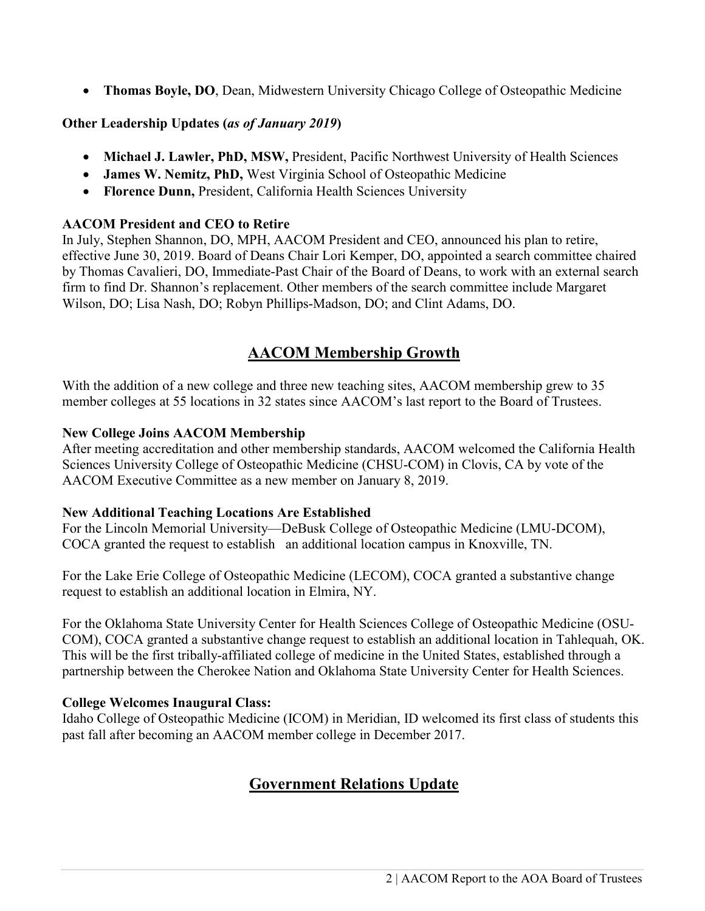• **Thomas Boyle, DO**, Dean, Midwestern University Chicago College of Osteopathic Medicine

**Other Leadership Updates (***as of January 2019***)**

- **Michael J. Lawler, PhD, MSW,** President, Pacific Northwest University of Health Sciences
- **James W. Nemitz, PhD,** West Virginia School of Osteopathic Medicine
- **Florence Dunn,** President, California Health Sciences University

# **AACOM President and CEO to Retire**

In July, Stephen Shannon, DO, MPH, AACOM President and CEO, announced his plan to retire, effective June 30, 2019. Board of Deans Chair Lori Kemper, DO, appointed a search committee chaired by Thomas Cavalieri, DO, Immediate-Past Chair of the Board of Deans, to work with an external search firm to find Dr. Shannon's replacement. Other members of the search committee include Margaret Wilson, DO; Lisa Nash, DO; Robyn Phillips-Madson, DO; and Clint Adams, DO.

# **AACOM Membership Growth**

With the addition of a new college and three new teaching sites, AACOM membership grew to 35 member colleges at 55 locations in 32 states since AACOM's last report to the Board of Trustees.

# **New College Joins AACOM Membership**

After meeting accreditation and other membership standards, AACOM welcomed the California Health Sciences University College of Osteopathic Medicine (CHSU-COM) in Clovis, CA by vote of the AACOM Executive Committee as a new member on January 8, 2019.

### **New Additional Teaching Locations Are Established**

For the Lincoln Memorial University—DeBusk College of Osteopathic Medicine (LMU-DCOM), COCA granted the request to establish an additional location campus in Knoxville, TN.

For the Lake Erie College of Osteopathic Medicine (LECOM), COCA granted a substantive change request to establish an additional location in Elmira, NY.

For the Oklahoma State University Center for Health Sciences College of Osteopathic Medicine (OSU-COM), COCA granted a substantive change request to establish an additional location in Tahlequah, OK. This will be the first tribally-affiliated college of medicine in the United States, established through a partnership between the Cherokee Nation and Oklahoma State University Center for Health Sciences.

### **College Welcomes Inaugural Class:**

Idaho College of Osteopathic Medicine (ICOM) in Meridian, ID welcomed its first class of students this past fall after becoming an AACOM member college in December 2017.

# **Government Relations Update**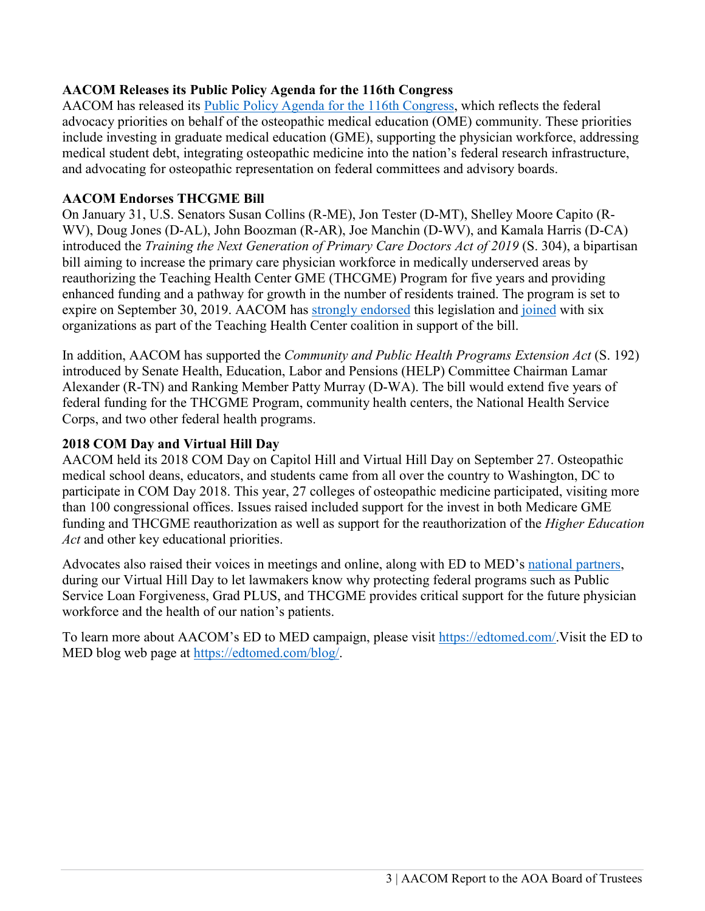# **AACOM Releases its Public Policy Agenda for the 116th Congress**

AACOM has released its [Public Policy Agenda for the 116th Congress,](http://aacom.informz.net/z/cjUucD9taT03MjQzODY0JnA9MSZ1PTc5MzIwMzE1NCZsaT01NTAwMTcxMw/index.html) which reflects the federal advocacy priorities on behalf of the osteopathic medical education (OME) community. These priorities include investing in graduate medical education (GME), supporting the physician workforce, addressing medical student debt, integrating osteopathic medicine into the nation's federal research infrastructure, and advocating for osteopathic representation on federal committees and advisory boards.

#### **AACOM Endorses THCGME Bill**

On January 31, U.S. Senators Susan Collins (R-ME), Jon Tester (D-MT), Shelley Moore Capito (R-WV), Doug Jones (D-AL), John Boozman (R-AR), Joe Manchin (D-WV), and Kamala Harris (D-CA) introduced the *Training the Next Generation of Primary Care Doctors Act of 2019* (S. 304), a bipartisan bill aiming to increase the primary care physician workforce in medically underserved areas by reauthorizing the Teaching Health Center GME (THCGME) Program for five years and providing enhanced funding and a pathway for growth in the number of residents trained. The program is set to expire on September 30, 2019. AACOM has [strongly endorsed](https://www.aacom.org/docs/default-source/public-statements/2-1-2019---aacom-support-for-training-the-next-generation-of-primary-care-doctors-act-of-2019.pdf?sfvrsn=51603f97_6) this legislation and [joined](https://www.aacom.org/advocacy/in-action/advocacy-pr/2019/02/04/physicians-medical-educators-community-health-centers-strongly-support-training-the-next-generation-of-primary-care-doctors-act-of-2019) with six organizations as part of the Teaching Health Center coalition in support of the bill.

In addition, AACOM has supported the *Community and Public Health Programs Extension Act* (S. 192) introduced by Senate Health, Education, Labor and Pensions (HELP) Committee Chairman Lamar Alexander (R-TN) and Ranking Member Patty Murray (D-WA). The bill would extend five years of federal funding for the THCGME Program, community health centers, the National Health Service Corps, and two other federal health programs.

#### **2018 COM Day and Virtual Hill Day**

AACOM held its 2018 COM Day on Capitol Hill and Virtual Hill Day on September 27. Osteopathic medical school deans, educators, and students came from all over the country to Washington, DC to participate in COM Day 2018. This year, 27 colleges of osteopathic medicine participated, visiting more than 100 congressional offices. Issues raised included support for the invest in both Medicare GME funding and THCGME reauthorization as well as support for the reauthorization of the *Higher Education Act* and other key educational priorities.

Advocates also raised their voices in meetings and online, along with ED to MED's [national partners,](https://edtomed.com/endorsements-page/) during our Virtual Hill Day to let lawmakers know why protecting federal programs such as Public Service Loan Forgiveness, Grad PLUS, and THCGME provides critical support for the future physician workforce and the health of our nation's patients.

To learn more about AACOM's ED to MED campaign, please visit https://edtomed.com/. Visit the ED to MED blog web page at [https://edtomed.com/blog/.](https://edtomed.com/blog/)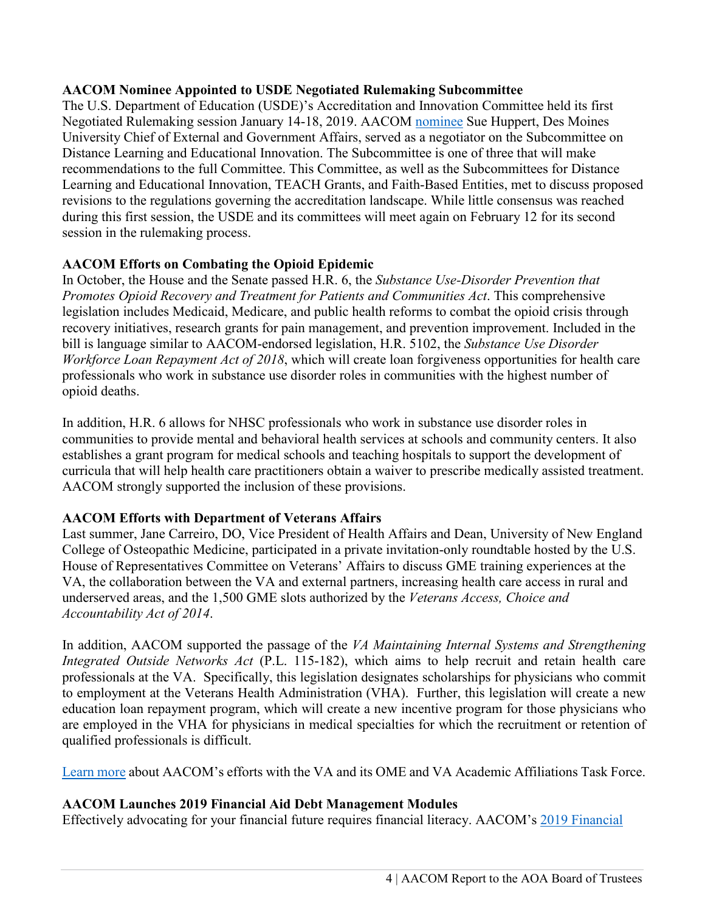## **AACOM Nominee Appointed to USDE Negotiated Rulemaking Subcommittee**

The U.S. Department of Education (USDE)'s Accreditation and Innovation Committee held its first Negotiated Rulemaking session January 14-18, 2019. AACOM [nominee](http://aacom.informz.net/z/cjUucD9taT03MjY1NjgxJnA9MSZ1PTc5MzIwMzE1NCZsaT01NTM2MzYxMg/index.html) Sue Huppert, Des Moines University Chief of External and Government Affairs, served as a negotiator on the Subcommittee on Distance Learning and Educational Innovation. The Subcommittee is one of three that will make recommendations to the full Committee. This Committee, as well as the Subcommittees for Distance Learning and Educational Innovation, TEACH Grants, and Faith-Based Entities, met to discuss proposed revisions to the regulations governing the accreditation landscape. While little consensus was reached during this first session, the USDE and its committees will meet again on February 12 for its second session in the rulemaking process.

# **AACOM Efforts on Combating the Opioid Epidemic**

In October, the House and the Senate passed H.R. 6, the *Substance Use-Disorder Prevention that Promotes Opioid Recovery and Treatment for Patients and Communities Act*. This comprehensive legislation includes Medicaid, Medicare, and public health reforms to combat the opioid crisis through recovery initiatives, research grants for pain management, and prevention improvement. Included in the bill is language similar to AACOM-endorsed legislation, H.R. 5102, the *[Substance Use Disorder](https://www.congress.gov/115/bills/hr5102/BILLS-115hr5102rfs.pdf)  [Workforce Loan Repayment Act of 2018](https://www.congress.gov/115/bills/hr5102/BILLS-115hr5102rfs.pdf)*, which will create loan forgiveness opportunities for health care professionals who work in substance use disorder roles in communities with the highest number of opioid deaths.

In addition, H.R. 6 allows for NHSC professionals who work in substance use disorder roles in communities to provide mental and behavioral health services at schools and community centers. It also establishes a grant program for medical schools and teaching hospitals to support the development of curricula that will help health care practitioners obtain a waiver to prescribe medically assisted treatment. AACOM strongly supported the inclusion of these provisions.

# **AACOM Efforts with Department of Veterans Affairs**

Last summer, Jane Carreiro, DO, Vice President of Health Affairs and Dean, University of New England College of Osteopathic Medicine, participated in a private invitation-only roundtable hosted by the U.S. House of Representatives Committee on Veterans' Affairs to discuss GME training experiences at the VA, the collaboration between the VA and external partners, increasing health care access in rural and underserved areas, and the 1,500 GME slots authorized by the *Veterans Access, Choice and Accountability Act of 2014*.

In addition, AACOM supported the passage of the *VA Maintaining Internal Systems and Strengthening Integrated Outside Networks Act* (P.L. 115-182), which aims to help recruit and retain health care professionals at the VA. Specifically, this legislation designates scholarships for physicians who commit to employment at the Veterans Health Administration (VHA). Further, this legislation will create a new education loan repayment program, which will create a new incentive program for those physicians who are employed in the VHA for physicians in medical specialties for which the recruitment or retention of qualified professionals is difficult.

[Learn](https://www.aacom.org/reports-programs-initiatives/initiatives/va-gme/task-force) more about AACOM's efforts with the VA and its OME and VA Academic Affiliations Task Force.

# **AACOM Launches 2019 Financial Aid Debt Management Modules**

Effectively advocating for your financial future requires financial literacy. AACOM's [2019 Financial](http://aacom.informz.net/z/cjUucD9taT03MjY1NjgxJnA9MSZ1PTc5MzIwMzE1NCZsaT01NTM2MzU5OA/index.html)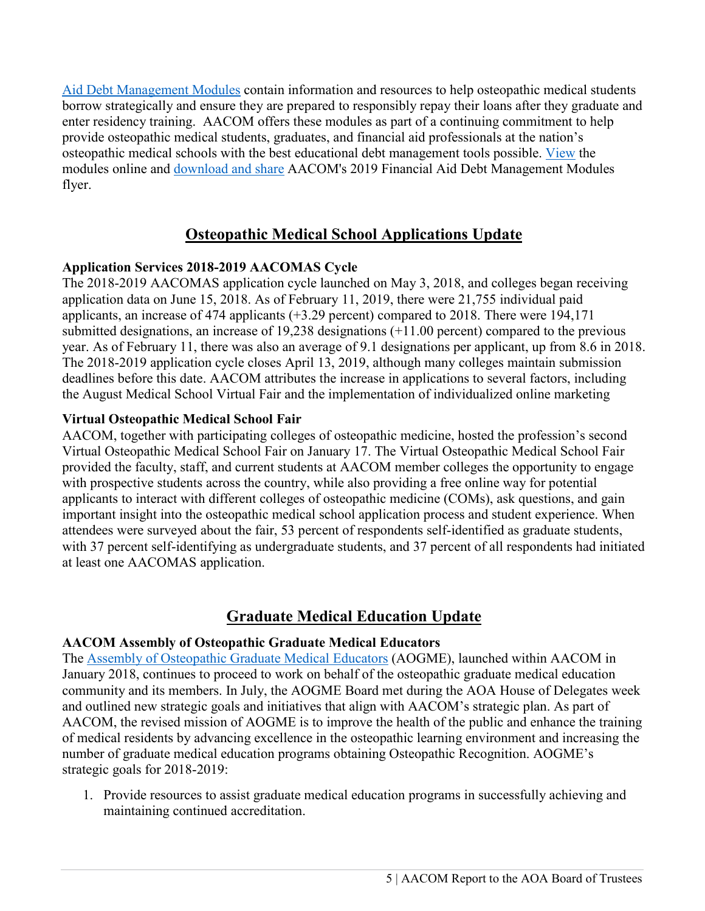[Aid Debt Management Modules](http://aacom.informz.net/z/cjUucD9taT03MjY1NjgxJnA9MSZ1PTc5MzIwMzE1NCZsaT01NTM2MzU5OA/index.html) contain information and resources to help osteopathic medical students borrow strategically and ensure they are prepared to responsibly repay their loans after they graduate and enter residency training. AACOM offers these modules as part of a continuing commitment to help provide osteopathic medical students, graduates, and financial aid professionals at the nation's osteopathic medical schools with the best educational debt management tools possible. [View](http://aacom.informz.net/z/cjUucD9taT03MjY1NjgxJnA9MSZ1PTc5MzIwMzE1NCZsaT01NTM2MzU5OA/index.html) the modules online and [download and share](http://aacom.informz.net/z/cjUucD9taT03MjY1NjgxJnA9MSZ1PTc5MzIwMzE1NCZsaT01NTM2MzU5OQ/index.html) AACOM's 2019 Financial Aid Debt Management Modules flyer.

# **Osteopathic Medical School Applications Update**

# **Application Services 2018-2019 AACOMAS Cycle**

The 2018-2019 AACOMAS application cycle launched on May 3, 2018, and colleges began receiving application data on June 15, 2018. As of February 11, 2019, there were 21,755 individual paid applicants, an increase of 474 applicants (+3.29 percent) compared to 2018. There were 194,171 submitted designations, an increase of 19,238 designations (+11.00 percent) compared to the previous year. As of February 11, there was also an average of 9.1 designations per applicant, up from 8.6 in 2018. The 2018-2019 application cycle closes April 13, 2019, although many colleges maintain submission deadlines before this date. AACOM attributes the increase in applications to several factors, including the August Medical School Virtual Fair and the implementation of individualized online marketing

# **Virtual Osteopathic Medical School Fair**

AACOM, together with participating colleges of osteopathic medicine, hosted the profession's second Virtual Osteopathic Medical School Fair on January 17. The Virtual Osteopathic Medical School Fair provided the faculty, staff, and current students at AACOM member colleges the opportunity to engage with prospective students across the country, while also providing a free online way for potential applicants to interact with different colleges of osteopathic medicine (COMs), ask questions, and gain important insight into the osteopathic medical school application process and student experience. When attendees were surveyed about the fair, 53 percent of respondents self-identified as graduate students, with 37 percent self-identifying as undergraduate students, and 37 percent of all respondents had initiated at least one AACOMAS application.

# **Graduate Medical Education Update**

# **AACOM Assembly of Osteopathic Graduate Medical Educators**

The [Assembly of Osteopathic Graduate Medical Educators](https://www.aacom.org/aogme) (AOGME), launched within AACOM in January 2018, continues to proceed to work on behalf of the osteopathic graduate medical education community and its members. In July, the AOGME Board met during the AOA House of Delegates week and outlined new strategic goals and initiatives that align with AACOM's strategic plan. As part of AACOM, the revised mission of AOGME is to improve the health of the public and enhance the training of medical residents by advancing excellence in the osteopathic learning environment and increasing the number of graduate medical education programs obtaining Osteopathic Recognition. AOGME's strategic goals for 2018-2019:

1. Provide resources to assist graduate medical education programs in successfully achieving and maintaining continued accreditation.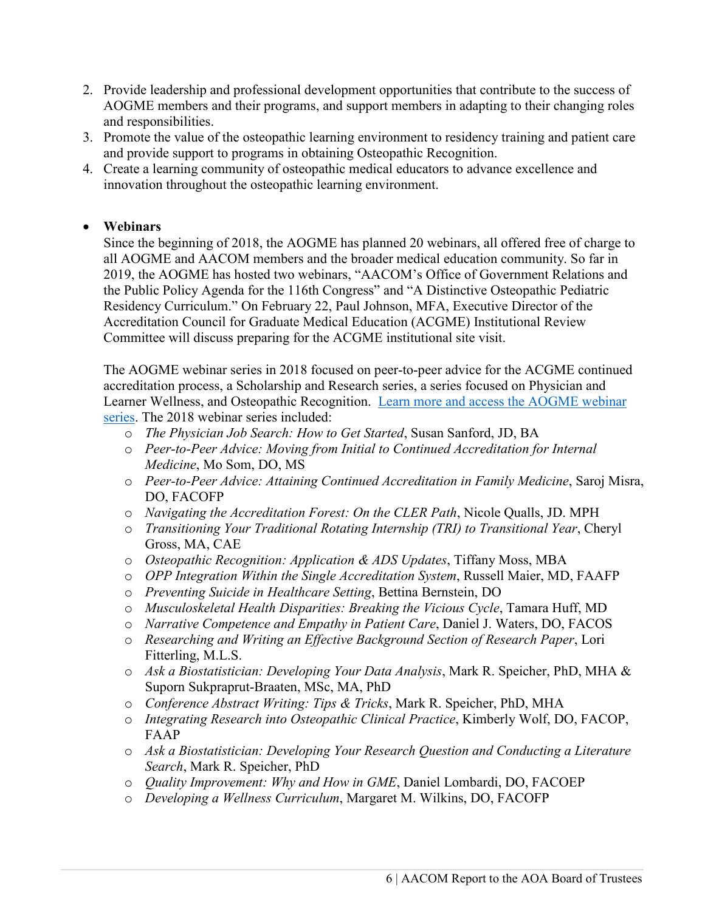- 2. Provide leadership and professional development opportunities that contribute to the success of AOGME members and their programs, and support members in adapting to their changing roles and responsibilities.
- 3. Promote the value of the osteopathic learning environment to residency training and patient care and provide support to programs in obtaining Osteopathic Recognition.
- 4. Create a learning community of osteopathic medical educators to advance excellence and innovation throughout the osteopathic learning environment.

# • **Webinars**

Since the beginning of 2018, the AOGME has planned 20 webinars, all offered free of charge to all AOGME and AACOM members and the broader medical education community. So far in 2019, the AOGME has hosted two webinars, "AACOM's Office of Government Relations and the Public Policy Agenda for the 116th Congress" and "A Distinctive Osteopathic Pediatric Residency Curriculum." On February 22, Paul Johnson, MFA, Executive Director of the Accreditation Council for Graduate Medical Education (ACGME) Institutional Review Committee will discuss preparing for the ACGME institutional site visit.

The AOGME webinar series in 2018 focused on peer-to-peer advice for the ACGME continued accreditation process, a Scholarship and Research series, a series focused on Physician and Learner Wellness, and Osteopathic Recognition. [Learn more and access the AOGME webinar](https://www.aacom.org/aogme/education/webinar-series)  [series.](https://www.aacom.org/aogme/education/webinar-series) The 2018 webinar series included:

- o *The Physician Job Search: How to Get Started*, Susan Sanford, JD, BA
- o *Peer-to-Peer Advice: Moving from Initial to Continued Accreditation for Internal Medicine*, Mo Som, DO, MS
- o *Peer-to-Peer Advice: Attaining Continued Accreditation in Family Medicine*, Saroj Misra, DO, FACOFP
- o *Navigating the Accreditation Forest: On the CLER Path*, Nicole Qualls, JD. MPH
- o *Transitioning Your Traditional Rotating Internship (TRI) to Transitional Year*, Cheryl Gross, MA, CAE
- o *Osteopathic Recognition: Application & ADS Updates*, Tiffany Moss, MBA
- o *OPP Integration Within the Single Accreditation System*, Russell Maier, MD, FAAFP
- o *Preventing Suicide in Healthcare Setting*, Bettina Bernstein, DO
- o *Musculoskeletal Health Disparities: Breaking the Vicious Cycle*, Tamara Huff, MD
- o *Narrative Competence and Empathy in Patient Care*, Daniel J. Waters, DO, FACOS
- o *Researching and Writing an Effective Background Section of Research Paper*, Lori Fitterling, M.L.S.
- o *Ask a Biostatistician: Developing Your Data Analysis*, Mark R. Speicher, PhD, MHA & Suporn Sukpraprut-Braaten, MSc, MA, PhD
- o *Conference Abstract Writing: Tips & Tricks*, Mark R. Speicher, PhD, MHA
- o *Integrating Research into Osteopathic Clinical Practice*, Kimberly Wolf, DO, FACOP, FAAP
- o *Ask a Biostatistician: Developing Your Research Question and Conducting a Literature Search*, Mark R. Speicher, PhD
- o *Quality Improvement: Why and How in GME*, Daniel Lombardi, DO, FACOEP
- o *Developing a Wellness Curriculum*, Margaret M. Wilkins, DO, FACOFP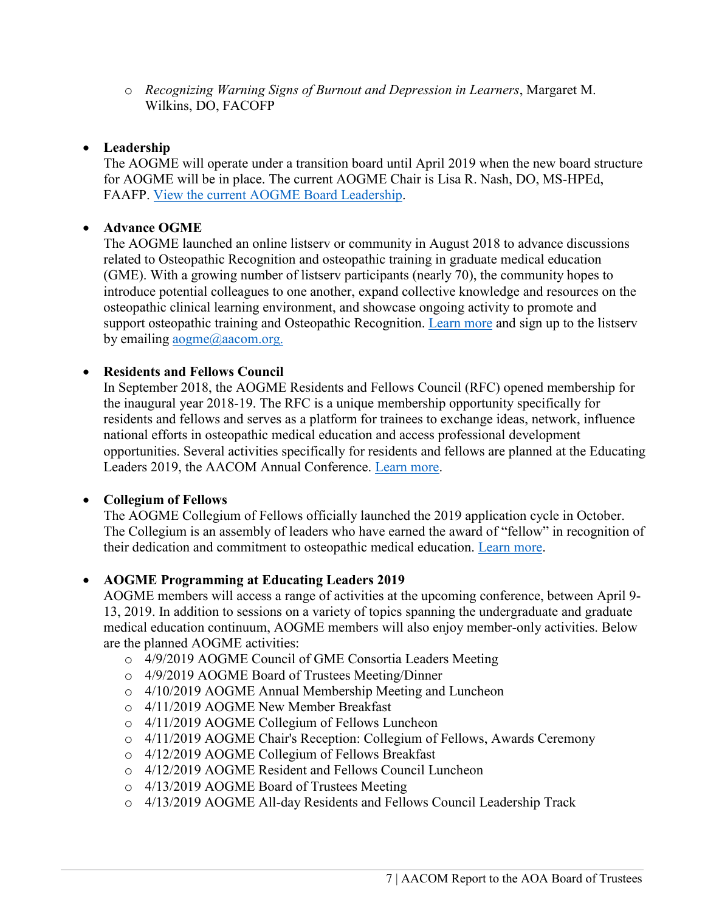o *Recognizing Warning Signs of Burnout and Depression in Learners*, Margaret M. Wilkins, DO, FACOFP

## • **Leadership**

The AOGME will operate under a transition board until April 2019 when the new board structure for AOGME will be in place. The current AOGME Chair is Lisa R. Nash, DO, MS-HPEd, FAAFP. [View the current AOGME Board Leadership.](https://www.aacom.org/aogme/about-us/leadership)

## • **Advance OGME**

The AOGME launched an online listserv or community in August 2018 to advance discussions related to Osteopathic Recognition and osteopathic training in graduate medical education (GME). With a growing number of listserv participants (nearly 70), the community hopes to introduce potential colleagues to one another, expand collective knowledge and resources on the osteopathic clinical learning environment, and showcase ongoing activity to promote and support osteopathic training and Osteopathic Recognition. [Learn more](mailto:Learn%20more) and sign up to the listserv by emailing [aogme@aacom.org.](mailto:aogme@aacom.org)

# • **Residents and Fellows Council**

In September 2018, the AOGME Residents and Fellows Council (RFC) opened membership for the inaugural year 2018-19. The RFC is a unique membership opportunity specifically for residents and fellows and serves as a platform for trainees to exchange ideas, network, influence national efforts in osteopathic medical education and access professional development opportunities. Several activities specifically for residents and fellows are planned at the Educating Leaders 2019, the AACOM Annual Conference. [Learn more.](https://www.aacom.org/aogme/programs/RFC)

### • **Collegium of Fellows**

The AOGME Collegium of Fellows officially launched the 2019 application cycle in October. The Collegium is an assembly of leaders who have earned the award of "fellow" in recognition of their dedication and commitment to osteopathic medical education. [Learn more.](https://www.aacom.org/aogme/programs/collegium)

### • **AOGME Programming at Educating Leaders 2019**

AOGME members will access a range of activities at the upcoming conference, between April 9- 13, 2019. In addition to sessions on a variety of topics spanning the undergraduate and graduate medical education continuum, AOGME members will also enjoy member-only activities. Below are the planned AOGME activities:

- o 4/9/2019 AOGME Council of GME Consortia Leaders Meeting
- o 4/9/2019 AOGME Board of Trustees Meeting/Dinner
- o 4/10/2019 AOGME Annual Membership Meeting and Luncheon
- o 4/11/2019 AOGME New Member Breakfast
- o 4/11/2019 AOGME Collegium of Fellows Luncheon
- o 4/11/2019 AOGME Chair's Reception: Collegium of Fellows, Awards Ceremony
- o 4/12/2019 AOGME Collegium of Fellows Breakfast
- o 4/12/2019 AOGME Resident and Fellows Council Luncheon
- o 4/13/2019 AOGME Board of Trustees Meeting
- o 4/13/2019 AOGME All-day Residents and Fellows Council Leadership Track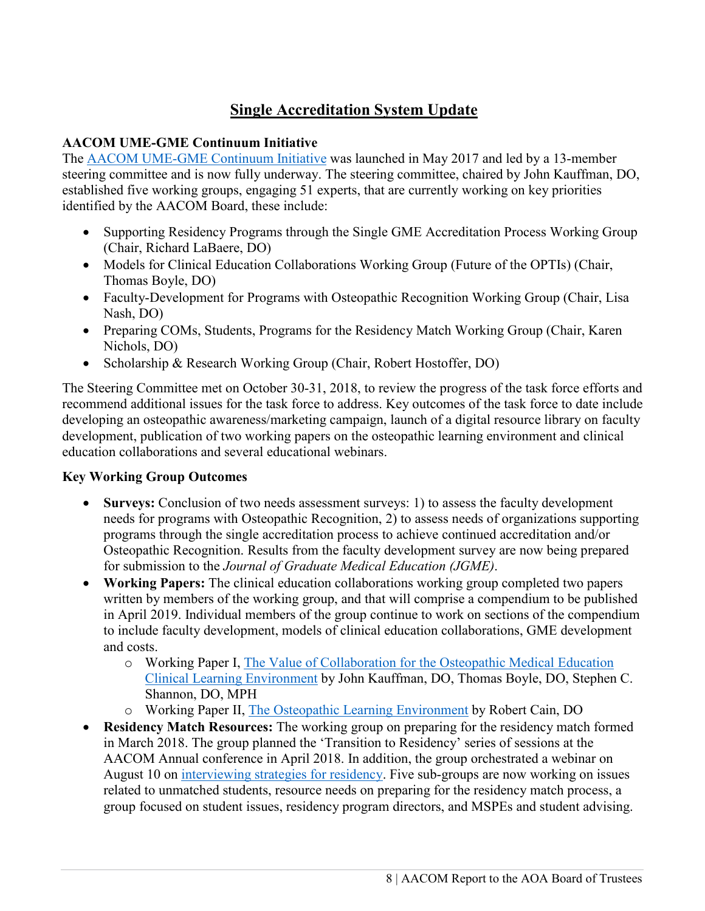# **Single Accreditation System Update**

# **AACOM UME-GME Continuum Initiative**

The [AACOM UME-GME Continuum Initiative](https://www.aacom.org/reports-programs-initiatives/initiatives/ume_gme_home/publications) was launched in May 2017 and led by a 13-member steering committee and is now fully underway. The steering committee, chaired by John Kauffman, DO, established five working groups, engaging 51 experts, that are currently working on key priorities identified by the AACOM Board, these include:

- Supporting Residency Programs through the Single GME Accreditation Process Working Group (Chair, Richard LaBaere, DO)
- Models for Clinical Education Collaborations Working Group (Future of the OPTIs) (Chair, Thomas Boyle, DO)
- Faculty-Development for Programs with Osteopathic Recognition Working Group (Chair, Lisa Nash, DO)
- Preparing COMs, Students, Programs for the Residency Match Working Group (Chair, Karen Nichols, DO)
- Scholarship & Research Working Group (Chair, Robert Hostoffer, DO)

The Steering Committee met on October 30-31, 2018, to review the progress of the task force efforts and recommend additional issues for the task force to address. Key outcomes of the task force to date include developing an osteopathic awareness/marketing campaign, launch of a digital resource library on faculty development, publication of two working papers on the osteopathic learning environment and clinical education collaborations and several educational webinars.

# **Key Working Group Outcomes**

- **Surveys:** Conclusion of two needs assessment surveys: 1) to assess the faculty development needs for programs with Osteopathic Recognition, 2) to assess needs of organizations supporting programs through the single accreditation process to achieve continued accreditation and/or Osteopathic Recognition. Results from the faculty development survey are now being prepared for submission to the *Journal of Graduate Medical Education (JGME)*.
- **Working Papers:** The clinical education collaborations working group completed two papers written by members of the working group, and that will comprise a compendium to be published in April 2019. Individual members of the group continue to work on sections of the compendium to include faculty development, models of clinical education collaborations, GME development and costs.
	- o Working Paper I, [The Value of Collaboration for the Osteopathic Medical Education](https://www.aacom.org/docs/default-source/aogme-documents/cle_collaborationsworkingpaper_p1_10_29.pdf?sfvrsn=eb702197_2)  [Clinical Learning Environment](https://www.aacom.org/docs/default-source/aogme-documents/cle_collaborationsworkingpaper_p1_10_29.pdf?sfvrsn=eb702197_2) by John Kauffman, DO, Thomas Boyle, DO, Stephen C. Shannon, DO, MPH
	- o Working Paper II, [The Osteopathic Learning Environment](https://www.aacom.org/reports-programs-initiatives/initiatives/ume_gme_home/publications) by Robert Cain, DO
- **Residency Match Resources:** The working group on preparing for the residency match formed in March 2018. The group planned the 'Transition to Residency' series of sessions at the AACOM Annual conference in April 2018. In addition, the group orchestrated a webinar on August 10 on [interviewing strategies for residency.](https://www.aacom.org/news-and-events/news-detail/2018/08/13/August20_studentwebinar) Five sub-groups are now working on issues related to unmatched students, resource needs on preparing for the residency match process, a group focused on student issues, residency program directors, and MSPEs and student advising.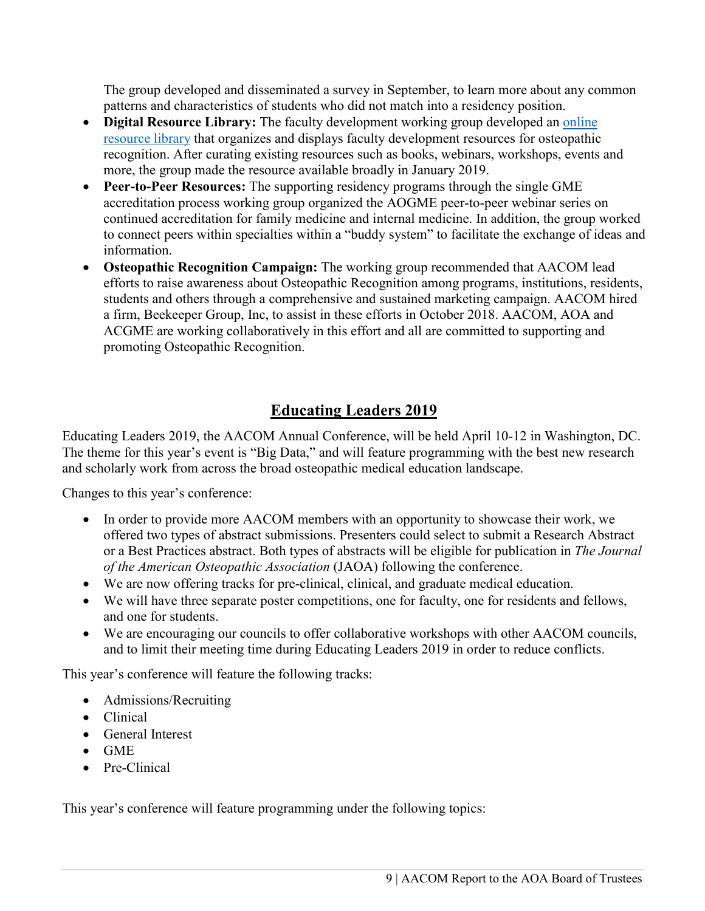The group developed and disseminated a survey in September, to learn more about any common patterns and characteristics of students who did not match into a residency position.

- **Digital Resource Library:** The faculty development working group developed an [online](https://www.aacom.org/digital-resource-library/home)  [resource library](https://www.aacom.org/digital-resource-library/home) that organizes and displays faculty development resources for osteopathic recognition. After curating existing resources such as books, webinars, workshops, events and more, the group made the resource available broadly in January 2019.
- **Peer-to-Peer Resources:** The supporting residency programs through the single GME accreditation process working group organized the AOGME peer-to-peer webinar series on continued accreditation for family medicine and internal medicine. In addition, the group worked to connect peers within specialties within a "buddy system" to facilitate the exchange of ideas and information.
- **Osteopathic Recognition Campaign:** The working group recommended that AACOM lead efforts to raise awareness about Osteopathic Recognition among programs, institutions, residents, students and others through a comprehensive and sustained marketing campaign. AACOM hired a firm, Beekeeper Group, Inc, to assist in these efforts in October 2018. AACOM, AOA and ACGME are working collaboratively in this effort and all are committed to supporting and promoting Osteopathic Recognition.

# **Educating Leaders 2019**

Educating Leaders 2019, the AACOM Annual Conference, will be held April 10-12 in Washington, DC. The theme for this year's event is "Big Data," and will feature programming with the best new research and scholarly work from across the broad osteopathic medical education landscape.

Changes to this year's conference:

- In order to provide more AACOM members with an opportunity to showcase their work, we offered two types of abstract submissions. Presenters could select to submit a Research Abstract or a Best Practices abstract. Both types of abstracts will be eligible for publication in *The Journal of the American Osteopathic Association* (JAOA) following the conference.
- We are now offering tracks for pre-clinical, clinical, and graduate medical education.
- We will have three separate poster competitions, one for faculty, one for residents and fellows, and one for students.
- We are encouraging our councils to offer collaborative workshops with other AACOM councils, and to limit their meeting time during Educating Leaders 2019 in order to reduce conflicts.

This year's conference will feature the following tracks:

- Admissions/Recruiting
- Clinical
- General Interest
- GME
- Pre-Clinical

This year's conference will feature programming under the following topics: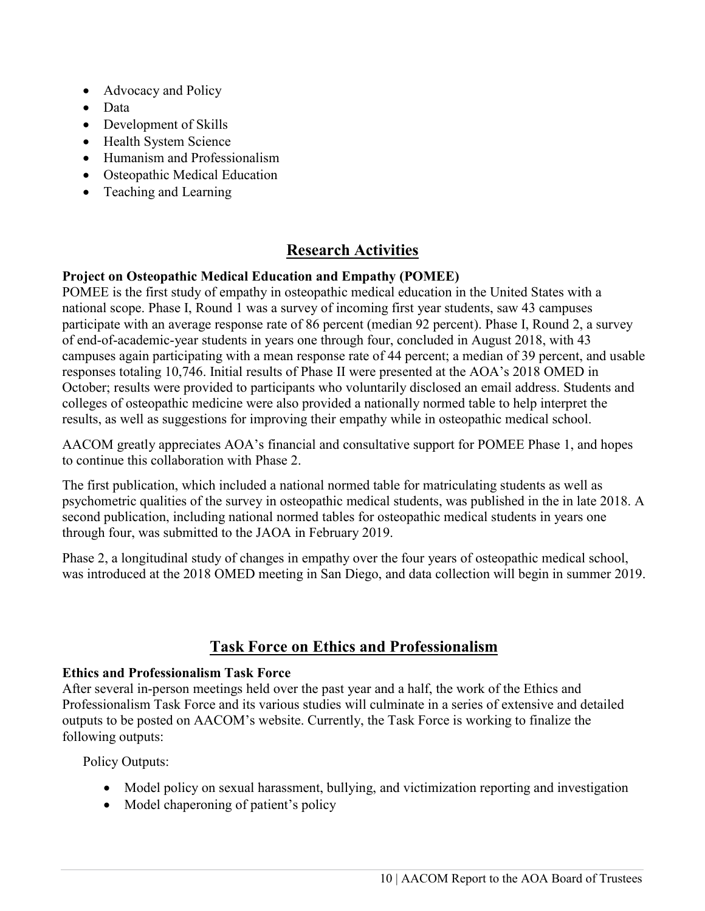- Advocacy and Policy
- Data
- Development of Skills
- Health System Science
- Humanism and Professionalism
- Osteopathic Medical Education
- Teaching and Learning

# **Research Activities**

# **Project on Osteopathic Medical Education and Empathy (POMEE)**

POMEE is the first study of empathy in osteopathic medical education in the United States with a national scope. Phase I, Round 1 was a survey of incoming first year students, saw 43 campuses participate with an average response rate of 86 percent (median 92 percent). Phase I, Round 2, a survey of end-of-academic-year students in years one through four, concluded in August 2018, with 43 campuses again participating with a mean response rate of 44 percent; a median of 39 percent, and usable responses totaling 10,746. Initial results of Phase II were presented at the AOA's 2018 OMED in October; results were provided to participants who voluntarily disclosed an email address. Students and colleges of osteopathic medicine were also provided a nationally normed table to help interpret the results, as well as suggestions for improving their empathy while in osteopathic medical school.

AACOM greatly appreciates AOA's financial and consultative support for POMEE Phase 1, and hopes to continue this collaboration with Phase 2.

The first publication, which included a national normed table for matriculating students as well as psychometric qualities of the survey in osteopathic medical students, was published in the in late 2018. A second publication, including national normed tables for osteopathic medical students in years one through four, was submitted to the JAOA in February 2019.

Phase 2, a longitudinal study of changes in empathy over the four years of osteopathic medical school, was introduced at the 2018 OMED meeting in San Diego, and data collection will begin in summer 2019.

# **Task Force on Ethics and Professionalism**

### **Ethics and Professionalism Task Force**

After several in-person meetings held over the past year and a half, the work of the Ethics and Professionalism Task Force and its various studies will culminate in a series of extensive and detailed outputs to be posted on AACOM's website. Currently, the Task Force is working to finalize the following outputs:

Policy Outputs:

- Model policy on sexual harassment, bullying, and victimization reporting and investigation
- Model chaperoning of patient's policy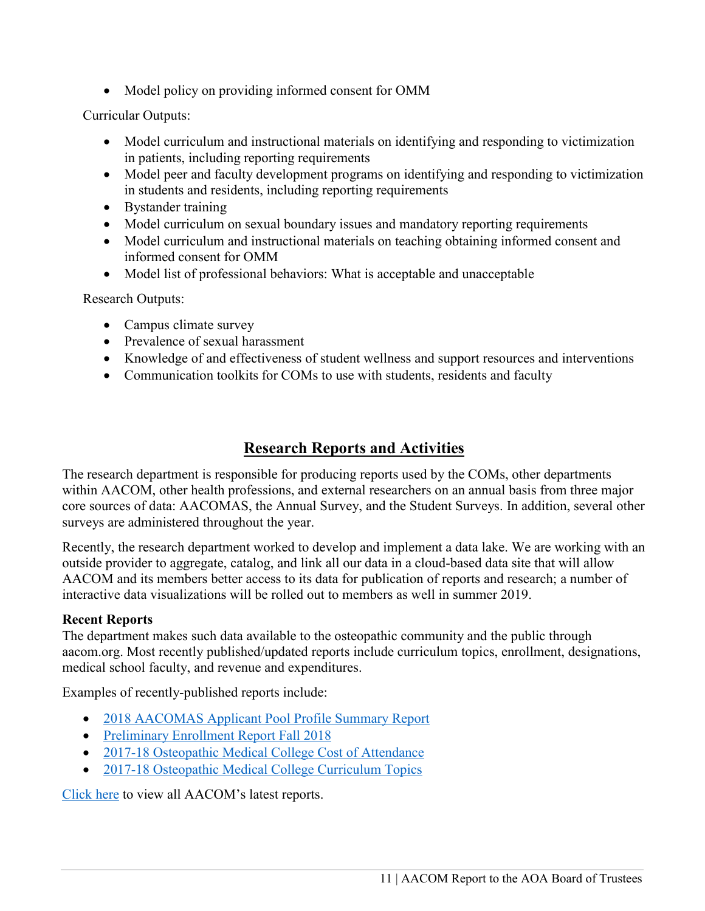• Model policy on providing informed consent for OMM

Curricular Outputs:

- Model curriculum and instructional materials on identifying and responding to victimization in patients, including reporting requirements
- Model peer and faculty development programs on identifying and responding to victimization in students and residents, including reporting requirements
- Bystander training
- Model curriculum on sexual boundary issues and mandatory reporting requirements
- Model curriculum and instructional materials on teaching obtaining informed consent and informed consent for OMM
- Model list of professional behaviors: What is acceptable and unacceptable

Research Outputs:

- Campus climate survey
- Prevalence of sexual harassment
- Knowledge of and effectiveness of student wellness and support resources and interventions
- Communication toolkits for COMs to use with students, residents and faculty

# **Research Reports and Activities**

The research department is responsible for producing reports used by the COMs, other departments within AACOM, other health professions, and external researchers on an annual basis from three major core sources of data: AACOMAS, the Annual Survey, and the Student Surveys. In addition, several other surveys are administered throughout the year.

Recently, the research department worked to develop and implement a data lake. We are working with an outside provider to aggregate, catalog, and link all our data in a cloud-based data site that will allow AACOM and its members better access to its data for publication of reports and research; a number of interactive data visualizations will be rolled out to members as well in summer 2019.

### **Recent Reports**

The department makes such data available to the osteopathic community and the public through aacom.org. Most recently published/updated reports include curriculum topics, enrollment, designations, medical school faculty, and revenue and expenditures.

Examples of recently-published reports include:

- [2018 AACOMAS Applicant Pool Profile Summary Report](https://www.aacom.org/docs/default-source/data-and-trends/2018-aacomas-applicant-pool-profile-summary-report.pdf?sfvrsn=2ced2197_4)
- [Preliminary Enrollment Report Fall 2018](https://www.aacom.org/docs/default-source/data-and-trends/preliminary-enrollment-report-fall-20180c104f43514d6e069d49ff00008852d2.pdf?sfvrsn=54422197_6)
- [2017-18 Osteopathic Medical College Cost of Attendance](https://www.aacom.org/docs/default-source/data-and-trends/2017-18-osteopathic-medical-college-cost-of-attendance.pdf?sfvrsn=17202097_4)
- [2017-18 Osteopathic Medical College Curriculum Topics](https://www.aacom.org/docs/default-source/data-and-trends/2017-18-osteopathic-medical-college-curriculum-topics.xlsx?sfvrsn=a6a12397_4)

[Click here](https://www.aacom.org/reports-programs-initiatives/aacom-reports#Latest) to view all AACOM's latest reports.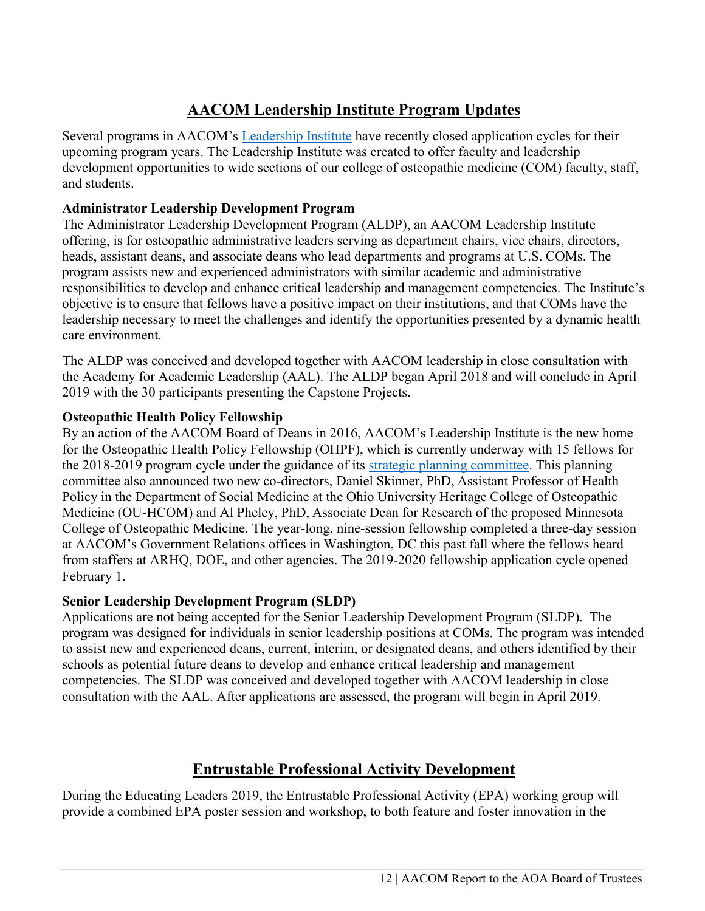# **AACOM Leadership Institute Program Updates**

Several programs in AACOM's [Leadership Institute](https://www.aacom.org/institute) have recently closed application cycles for their upcoming program years. The Leadership Institute was created to offer faculty and leadership development opportunities to wide sections of our college of osteopathic medicine (COM) faculty, staff, and students.

# **Administrator Leadership Development Program**

The Administrator Leadership Development Program (ALDP), an AACOM Leadership Institute offering, is for osteopathic administrative leaders serving as department chairs, vice chairs, directors, heads, assistant deans, and associate deans who lead departments and programs at U.S. COMs. The program assists new and experienced administrators with similar academic and administrative responsibilities to develop and enhance critical leadership and management competencies. The Institute's objective is to ensure that fellows have a positive impact on their institutions, and that COMs have the leadership necessary to meet the challenges and identify the opportunities presented by a dynamic health care environment.

The ALDP was conceived and developed together with AACOM leadership in close consultation with the Academy for Academic Leadership (AAL). The ALDP began April 2018 and will conclude in April 2019 with the 30 participants presenting the Capstone Projects.

# **Osteopathic Health Policy Fellowship**

By an action of the AACOM Board of Deans in 2016, AACOM's Leadership Institute is the new home for the Osteopathic Health Policy Fellowship (OHPF), which is currently underway with 15 fellows for the 2018-2019 program cycle under the guidance of its [strategic planning committee.](https://www.aacom.org/institute/health-policy-fellowship/key-people) This planning committee also announced two new co-directors, Daniel Skinner, PhD, Assistant Professor of Health Policy in the Department of Social Medicine at the Ohio University Heritage College of Osteopathic Medicine (OU-HCOM) and Al Pheley, PhD, Associate Dean for Research of the proposed Minnesota College of Osteopathic Medicine. The year-long, nine-session fellowship completed a three-day session at AACOM's Government Relations offices in Washington, DC this past fall where the fellows heard from staffers at ARHQ, DOE, and other agencies. The 2019-2020 fellowship application cycle opened February 1.

### **Senior Leadership Development Program (SLDP)**

Applications are not being accepted for the Senior Leadership Development Program (SLDP). The program was designed for individuals in senior leadership positions at COMs. The program was intended to assist new and experienced deans, current, interim, or designated deans, and others identified by their schools as potential future deans to develop and enhance critical leadership and management competencies. The SLDP was conceived and developed together with AACOM leadership in close consultation with the AAL. After applications are assessed, the program will begin in April 2019.

# **Entrustable Professional Activity Development**

During the Educating Leaders 2019, the Entrustable Professional Activity (EPA) working group will provide a combined EPA poster session and workshop, to both feature and foster innovation in the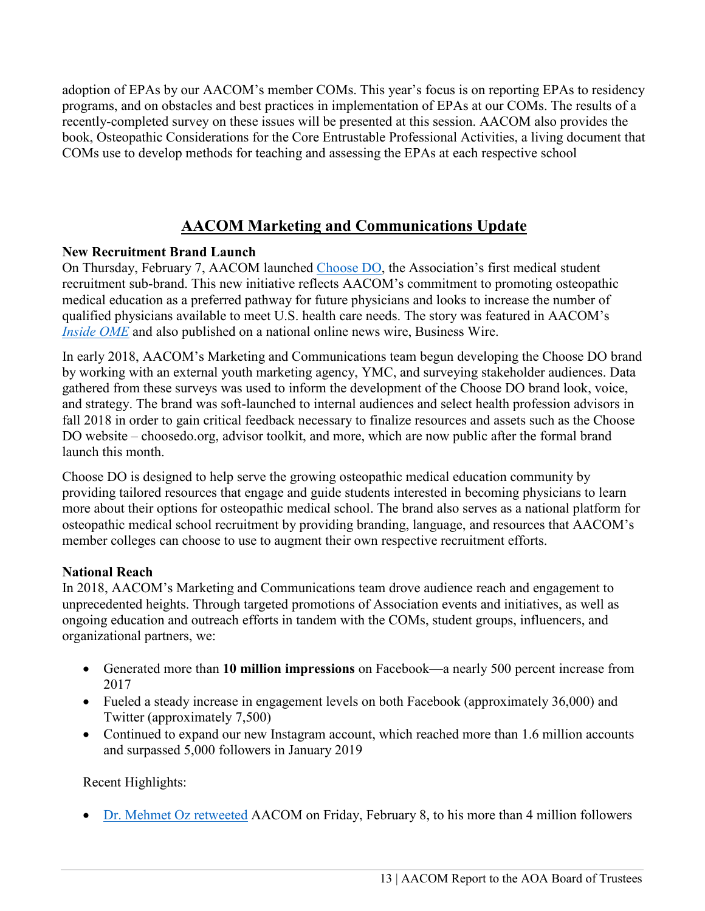adoption of EPAs by our AACOM's member COMs. This year's focus is on reporting EPAs to residency programs, and on obstacles and best practices in implementation of EPAs at our COMs. The results of a recently-completed survey on these issues will be presented at this session. AACOM also provides the book, Osteopathic Considerations for the Core Entrustable Professional Activities, a living document that COMs use to develop methods for teaching and assessing the EPAs at each respective school

# **AACOM Marketing and Communications Update**

# **New Recruitment Brand Launch**

On Thursday, February 7, AACOM launched [Choose DO,](http://www.choosedo.org/) the Association's first medical student recruitment sub-brand. This new initiative reflects AACOM's commitment to promoting osteopathic medical education as a preferred pathway for future physicians and looks to increase the number of qualified physicians available to meet U.S. health care needs. The story was featured in AACOM's *[Inside OME](https://aacom.informz.net/informzdataservice/onlineversion/ind/bWFpbGluZ2luc3RhbmNlaWQ9NzI4NTYzNSZzdWJzY3JpYmVyaWQ9OTA3NDAxMjE3)* and also published on a national online news wire, Business Wire.

In early 2018, AACOM's Marketing and Communications team begun developing the Choose DO brand by working with an external youth marketing agency, YMC, and surveying stakeholder audiences. Data gathered from these surveys was used to inform the development of the Choose DO brand look, voice, and strategy. The brand was soft-launched to internal audiences and select health profession advisors in fall 2018 in order to gain critical feedback necessary to finalize resources and assets such as the Choose DO website – choosedo.org, advisor toolkit, and more, which are now public after the formal brand launch this month.

Choose DO is designed to help serve the growing osteopathic medical education community by providing tailored resources that engage and guide students interested in becoming physicians to learn more about their options for osteopathic medical school. The brand also serves as a national platform for osteopathic medical school recruitment by providing branding, language, and resources that AACOM's member colleges can choose to use to augment their own respective recruitment efforts.

### **National Reach**

In 2018, AACOM's Marketing and Communications team drove audience reach and engagement to unprecedented heights. Through targeted promotions of Association events and initiatives, as well as ongoing education and outreach efforts in tandem with the COMs, student groups, influencers, and organizational partners, we:

- Generated more than **10 million impressions** on Facebook—a nearly 500 percent increase from 2017
- Fueled a steady increase in engagement levels on both Facebook (approximately 36,000) and Twitter (approximately 7,500)
- Continued to expand our new Instagram account, which reached more than 1.6 million accounts and surpassed 5,000 followers in January 2019

Recent Highlights:

• [Dr. Mehmet Oz retweeted](https://twitter.com/AACOMmunities/status/1093887253468889089) AACOM on Friday, February 8, to his more than 4 million followers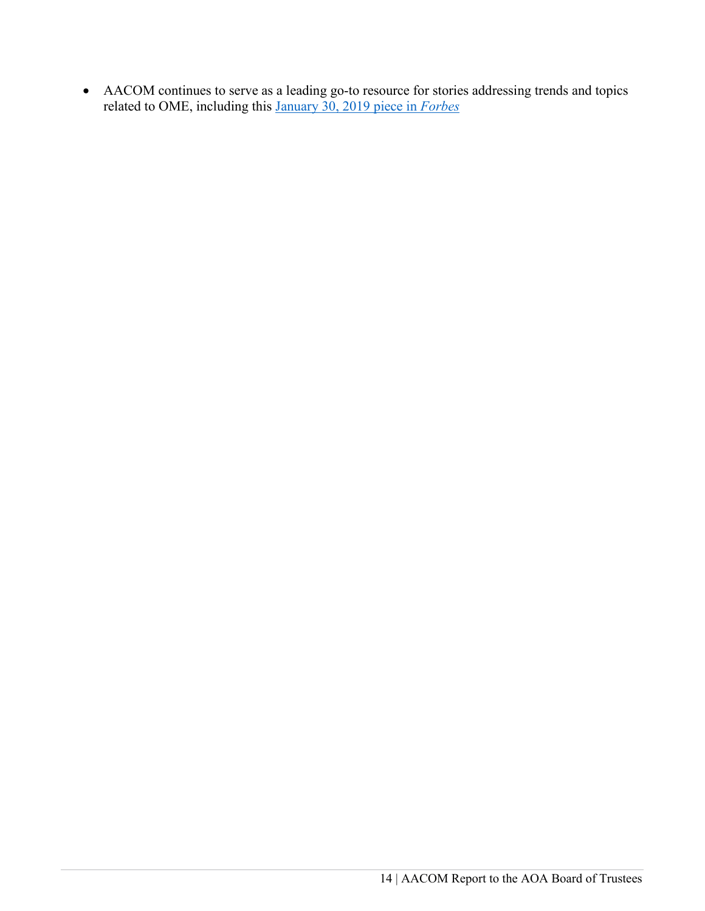• AACOM continues to serve as a leading go-to resource for stories addressing trends and topics related to OME, including this [January 30, 2019 piece in](https://www.forbes.com/sites/kristenmoon/2019/01/30/which-is-the-best-path-to-medicine-md-vs-do/#6f1975416866) *Forbes*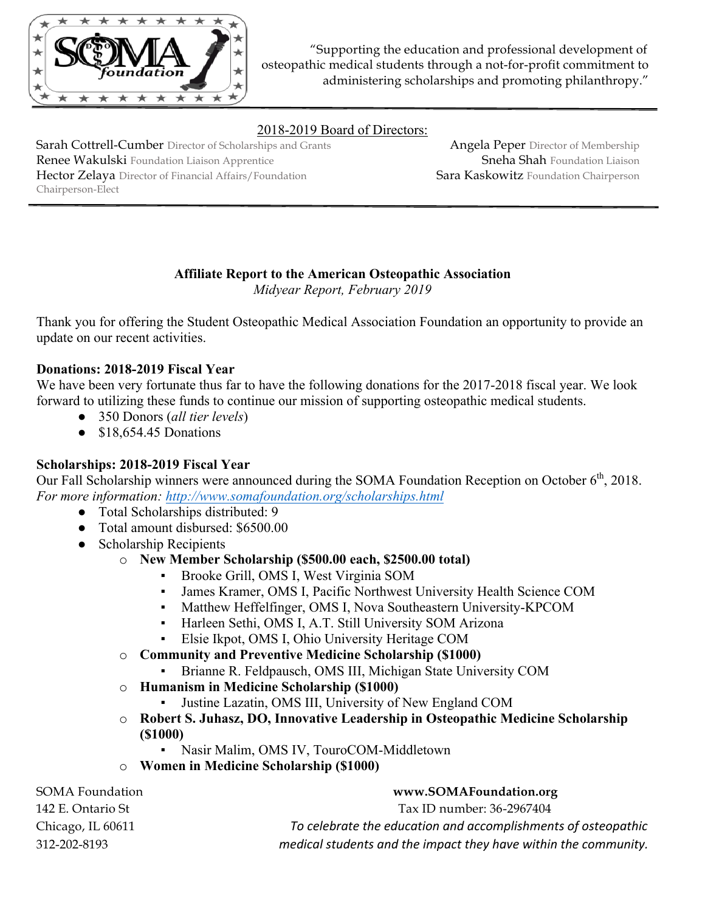

"Supporting the education and professional development of osteopathic medical students through a not-for-profit commitment to administering scholarships and promoting philanthropy."

# 2018-2019 Board of Directors:

Sarah Cottrell-Cumber Director of Scholarships and Grants Renee Wakulski Foundation Liaison Apprentice Hector Zelaya Director of Financial Affairs/Foundation Chairperson-Elect

Angela Peper Director of Membership Sneha Shah Foundation Liaison Sara Kaskowitz Foundation Chairperson

#### **Affiliate Report to the American Osteopathic Association** *Midyear Report, February 2019*

Thank you for offering the Student Osteopathic Medical Association Foundation an opportunity to provide an update on our recent activities.

### **Donations: 2018-2019 Fiscal Year**

We have been very fortunate thus far to have the following donations for the 2017-2018 fiscal year. We look forward to utilizing these funds to continue our mission of supporting osteopathic medical students.

- 350 Donors (*all tier levels*)
- $\bullet$  \$18,654.45 Donations

### **Scholarships: 2018-2019 Fiscal Year**

Our Fall Scholarship winners were announced during the SOMA Foundation Reception on October  $6<sup>th</sup>$ , 2018. *For more information: http://www.somafoundation.org/scholarships.html*

- Total Scholarships distributed: 9
- Total amount disbursed: \$6500.00
- Scholarship Recipients
	- o **New Member Scholarship (\$500.00 each, \$2500.00 total)**
		- Brooke Grill, OMS I, West Virginia SOM
		- James Kramer, OMS I, Pacific Northwest University Health Science COM
		- Matthew Heffelfinger, OMS I, Nova Southeastern University-KPCOM
		- Harleen Sethi, OMS I, A.T. Still University SOM Arizona
		- Elsie Ikpot, OMS I, Ohio University Heritage COM
	- o **Community and Preventive Medicine Scholarship (\$1000)**
		- Brianne R. Feldpausch, OMS III, Michigan State University COM
	- o **Humanism in Medicine Scholarship (\$1000)**
		- Justine Lazatin, OMS III, University of New England COM
	- o **Robert S. Juhasz, DO, Innovative Leadership in Osteopathic Medicine Scholarship (\$1000)**
		- Nasir Malim, OMS IV, TouroCOM-Middletown
	- o **Women in Medicine Scholarship (\$1000)**

SOMA Foundation **www.SOMAFoundation.org** 142 E. Ontario St Tax ID number: 36-2967404 Chicago, IL 60611 *To celebrate the education and accomplishments of osteopathic* 312-202-8193 *medical students and the impact they have within the community.*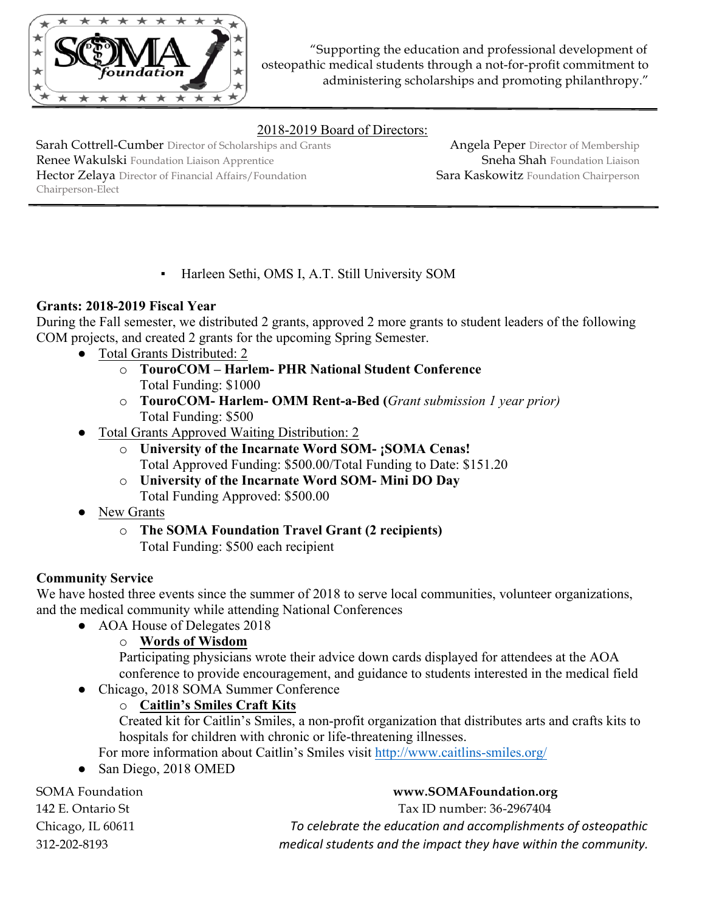

"Supporting the education and professional development of osteopathic medical students through a not-for-profit commitment to administering scholarships and promoting philanthropy."

# 2018-2019 Board of Directors:

Sarah Cottrell-Cumber Director of Scholarships and Grants Renee Wakulski Foundation Liaison Apprentice Hector Zelaya Director of Financial Affairs/Foundation Chairperson-Elect

Angela Peper Director of Membership Sneha Shah Foundation Liaison Sara Kaskowitz Foundation Chairperson

▪ Harleen Sethi, OMS I, A.T. Still University SOM

# **Grants: 2018-2019 Fiscal Year**

During the Fall semester, we distributed 2 grants, approved 2 more grants to student leaders of the following COM projects, and created 2 grants for the upcoming Spring Semester.

- Total Grants Distributed: 2
	- o **TouroCOM – Harlem- PHR National Student Conference**  Total Funding: \$1000
	- o **TouroCOM- Harlem- OMM Rent-a-Bed (***Grant submission 1 year prior)* Total Funding: \$500
	- Total Grants Approved Waiting Distribution: 2
		- o **University of the Incarnate Word SOM- ¡SOMA Cenas!** Total Approved Funding: \$500.00/Total Funding to Date: \$151.20
		- o **University of the Incarnate Word SOM- Mini DO Day** Total Funding Approved: \$500.00
- New Grants
	- o **The SOMA Foundation Travel Grant (2 recipients)** Total Funding: \$500 each recipient

### **Community Service**

We have hosted three events since the summer of 2018 to serve local communities, volunteer organizations, and the medical community while attending National Conferences

● AOA House of Delegates 2018

# o **Words of Wisdom**

Participating physicians wrote their advice down cards displayed for attendees at the AOA conference to provide encouragement, and guidance to students interested in the medical field

● Chicago, 2018 SOMA Summer Conference

# o **Caitlin's Smiles Craft Kits**

Created kit for Caitlin's Smiles, a non-profit organization that distributes arts and crafts kits to hospitals for children with chronic or life-threatening illnesses.

For more information about Caitlin's Smiles visit http://www.caitlins-smiles.org/

• San Diego, 2018 OMED

# SOMA Foundation **www.SOMAFoundation.org** 142 E. Ontario St Tax ID number: 36-2967404 Chicago, IL 60611 *To celebrate the education and accomplishments of osteopathic* 312-202-8193 *medical students and the impact they have within the community.*